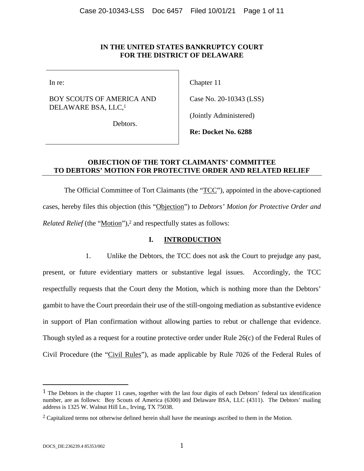### **IN THE UNITED STATES BANKRUPTCY COURT FOR THE DISTRICT OF DELAWARE**

In re:

BOY SCOUTS OF AMERICA AND DELAWARE BSA, LLC,1

Chapter 11

Case No. 20-10343 (LSS)

(Jointly Administered)

Debtors.

**Re: Docket No. 6288** 

# **OBJECTION OF THE TORT CLAIMANTS' COMMITTEE TO DEBTORS' MOTION FOR PROTECTIVE ORDER AND RELATED RELIEF**

The Official Committee of Tort Claimants (the "TCC"), appointed in the above-captioned cases, hereby files this objection (this "Objection") to *Debtors' Motion for Protective Order and Related Relief* (the "Motion"),<sup>2</sup> and respectfully states as follows:

# **I. INTRODUCTION**

1. Unlike the Debtors, the TCC does not ask the Court to prejudge any past, present, or future evidentiary matters or substantive legal issues. Accordingly, the TCC respectfully requests that the Court deny the Motion, which is nothing more than the Debtors' gambit to have the Court preordain their use of the still-ongoing mediation as substantive evidence in support of Plan confirmation without allowing parties to rebut or challenge that evidence. Though styled as a request for a routine protective order under Rule 26(c) of the Federal Rules of Civil Procedure (the "Civil Rules"), as made applicable by Rule 7026 of the Federal Rules of

 $\overline{a}$ 

 $<sup>1</sup>$  The Debtors in the chapter 11 cases, together with the last four digits of each Debtors' federal tax identification</sup> number, are as follows: Boy Scouts of America (6300) and Delaware BSA, LLC (4311). The Debtors' mailing address is 1325 W. Walnut Hill Ln., Irving, TX 75038.

<sup>&</sup>lt;sup>2</sup> Capitalized terms not otherwise defined herein shall have the meanings ascribed to them in the Motion.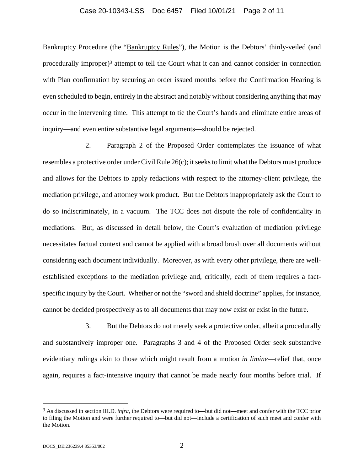#### Case 20-10343-LSS Doc 6457 Filed 10/01/21 Page 2 of 11

Bankruptcy Procedure (the "Bankruptcy Rules"), the Motion is the Debtors' thinly-veiled (and procedurally improper)3 attempt to tell the Court what it can and cannot consider in connection with Plan confirmation by securing an order issued months before the Confirmation Hearing is even scheduled to begin, entirely in the abstract and notably without considering anything that may occur in the intervening time. This attempt to tie the Court's hands and eliminate entire areas of inquiry—and even entire substantive legal arguments—should be rejected.

2. Paragraph 2 of the Proposed Order contemplates the issuance of what resembles a protective order under Civil Rule 26(c); it seeks to limit what the Debtors must produce and allows for the Debtors to apply redactions with respect to the attorney-client privilege, the mediation privilege, and attorney work product. But the Debtors inappropriately ask the Court to do so indiscriminately, in a vacuum. The TCC does not dispute the role of confidentiality in mediations. But, as discussed in detail below, the Court's evaluation of mediation privilege necessitates factual context and cannot be applied with a broad brush over all documents without considering each document individually. Moreover, as with every other privilege, there are wellestablished exceptions to the mediation privilege and, critically, each of them requires a factspecific inquiry by the Court. Whether or not the "sword and shield doctrine" applies, for instance, cannot be decided prospectively as to all documents that may now exist or exist in the future.

3. But the Debtors do not merely seek a protective order, albeit a procedurally and substantively improper one. Paragraphs 3 and 4 of the Proposed Order seek substantive evidentiary rulings akin to those which might result from a motion *in limine*—relief that, once again, requires a fact-intensive inquiry that cannot be made nearly four months before trial. If

 $\overline{a}$ 

<sup>3</sup> As discussed in section III.D. *infra*, the Debtors were required to—but did not—meet and confer with the TCC prior to filing the Motion and were further required to—but did not—include a certification of such meet and confer with the Motion.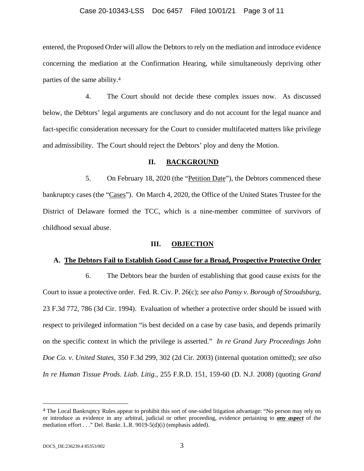#### Case 20-10343-LSS Doc 6457 Filed 10/01/21 Page 3 of 11

entered, the Proposed Order will allow the Debtors to rely on the mediation and introduce evidence concerning the mediation at the Confirmation Hearing, while simultaneously depriving other parties of the same ability.4

4. The Court should not decide these complex issues now. As discussed below, the Debtors' legal arguments are conclusory and do not account for the legal nuance and fact-specific consideration necessary for the Court to consider multifaceted matters like privilege and admissibility. The Court should reject the Debtors' ploy and deny the Motion.

#### **II. BACKGROUND**

5. On February 18, 2020 (the "Petition Date"), the Debtors commenced these bankruptcy cases (the "Cases"). On March 4, 2020, the Office of the United States Trustee for the District of Delaware formed the TCC, which is a nine-member committee of survivors of childhood sexual abuse.

#### **III. OBJECTION**

#### **A. The Debtors Fail to Establish Good Cause for a Broad, Prospective Protective Order**

6. The Debtors bear the burden of establishing that good cause exists for the Court to issue a protective order. Fed. R. Civ. P. 26(c); *see also Pansy v. Borough of Stroudsburg*, 23 F.3d 772, 786 (3d Cir. 1994). Evaluation of whether a protective order should be issued with respect to privileged information "is best decided on a case by case basis, and depends primarily on the specific context in which the privilege is asserted." *In re Grand Jury Proceedings John Doe Co. v. United States*, 350 F.3d 299, 302 (2d Cir. 2003) (internal quotation omitted); *see also In re Human Tissue Prods. Liab. Litig.*, 255 F.R.D. 151, 159-60 (D. N.J. 2008) (quoting *Grand* 

1

<sup>4</sup> The Local Bankruptcy Rules appear to prohibit this sort of one-sided litigation advantage: "No person may rely on or introduce as evidence in any arbitral, judicial or other proceeding, evidence pertaining to *any aspect* of the mediation effort . . ." Del. Bankr. L.R. 9019-5(d)(i) (emphasis added).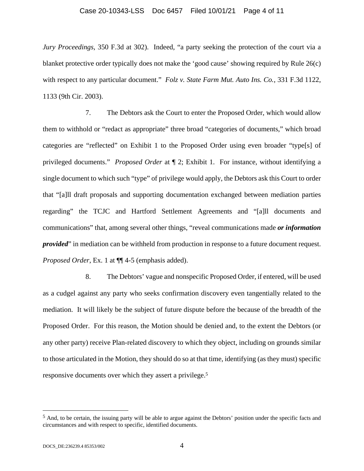#### Case 20-10343-LSS Doc 6457 Filed 10/01/21 Page 4 of 11

*Jury Proceedings*, 350 F.3d at 302). Indeed, "a party seeking the protection of the court via a blanket protective order typically does not make the 'good cause' showing required by Rule 26(c) with respect to any particular document." *Folz v. State Farm Mut. Auto Ins. Co.*, 331 F.3d 1122, 1133 (9th Cir. 2003).

7. The Debtors ask the Court to enter the Proposed Order, which would allow them to withhold or "redact as appropriate" three broad "categories of documents," which broad categories are "reflected" on Exhibit 1 to the Proposed Order using even broader "type[s] of privileged documents." *Proposed Order* at ¶ 2; Exhibit 1. For instance, without identifying a single document to which such "type" of privilege would apply, the Debtors ask this Court to order that "[a]ll draft proposals and supporting documentation exchanged between mediation parties regarding" the TCJC and Hartford Settlement Agreements and "[a]ll documents and communications" that, among several other things, "reveal communications made *or information provided*" in mediation can be withheld from production in response to a future document request. *Proposed Order*, Ex. 1 at ¶¶ 4-5 (emphasis added).

8. The Debtors' vague and nonspecific Proposed Order, if entered, will be used as a cudgel against any party who seeks confirmation discovery even tangentially related to the mediation. It will likely be the subject of future dispute before the because of the breadth of the Proposed Order. For this reason, the Motion should be denied and, to the extent the Debtors (or any other party) receive Plan-related discovery to which they object, including on grounds similar to those articulated in the Motion, they should do so at that time, identifying (as they must) specific responsive documents over which they assert a privilege.5

 $\overline{a}$ 

<sup>5</sup> And, to be certain, the issuing party will be able to argue against the Debtors' position under the specific facts and circumstances and with respect to specific, identified documents.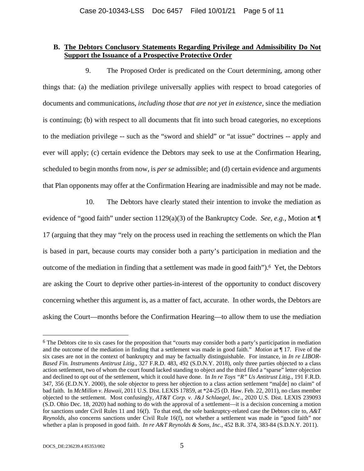### **B. The Debtors Conclusory Statements Regarding Privilege and Admissibility Do Not Support the Issuance of a Prospective Protective Order**

9. The Proposed Order is predicated on the Court determining, among other things that: (a) the mediation privilege universally applies with respect to broad categories of documents and communications, *including those that are not yet in existence,* since the mediation is continuing; (b) with respect to all documents that fit into such broad categories, no exceptions to the mediation privilege -- such as the "sword and shield" or "at issue" doctrines -- apply and ever will apply; (c) certain evidence the Debtors may seek to use at the Confirmation Hearing, scheduled to begin months from now, is *per se* admissible; and (d) certain evidence and arguments that Plan opponents may offer at the Confirmation Hearing are inadmissible and may not be made.

10. The Debtors have clearly stated their intention to invoke the mediation as evidence of "good faith" under section 1129(a)(3) of the Bankruptcy Code. *See, e.g.,* Motion at ¶ 17 (arguing that they may "rely on the process used in reaching the settlements on which the Plan is based in part, because courts may consider both a party's participation in mediation and the outcome of the mediation in finding that a settlement was made in good faith").6 Yet, the Debtors are asking the Court to deprive other parties-in-interest of the opportunity to conduct discovery concerning whether this argument is, as a matter of fact, accurate. In other words, the Debtors are asking the Court—months before the Confirmation Hearing—to allow them to use the mediation

 $\overline{a}$ 

<sup>&</sup>lt;sup>6</sup> The Debtors cite to six cases for the proposition that "courts may consider both a party's participation in mediation and the outcome of the mediation in finding that a settlement was made in good faith." *Motion* at ¶ 17. Five of the six cases are not in the context of bankruptcy and may be factually distinguishable. For instance, in *In re LIBOR-Based Fin. Instruments Antitrust Litig.*, 327 F.R.D. 483, 492 (S.D.N.Y. 2018), only three parties objected to a class action settlement, two of whom the court found lacked standing to object and the third filed a "sparse" letter objection and declined to opt out of the settlement, which it could have done. In *In re Toys "R" Us Antitrust Litig.*, 191 F.R.D. 347, 356 (E.D.N.Y. 2000), the sole objector to press her objection to a class action settlement "ma[de] no claim" of bad faith. In *McMillon v. Hawaii*, 2011 U.S. Dist. LEXIS 17859, at \*24-25 (D. Haw. Feb. 22, 2011), no class member objected to the settlement. Most confusingly, *AT&T Corp. v. J&J Schlaegel, Inc.*, 2020 U.S. Dist. LEXIS 239093 (S.D. Ohio Dec. 18, 2020) had nothing to do with the approval of a settlement—it is a decision concerning a motion for sanctions under Civil Rules 11 and 16(f). To that end, the sole bankruptcy-related case the Debtors cite to, *A&T Reynolds*, also concerns sanctions under Civil Rule 16(f), not whether a settlement was made in "good faith" nor whether a plan is proposed in good faith. *In re A&T Reynolds & Sons, Inc.*, 452 B.R. 374, 383-84 (S.D.N.Y. 2011).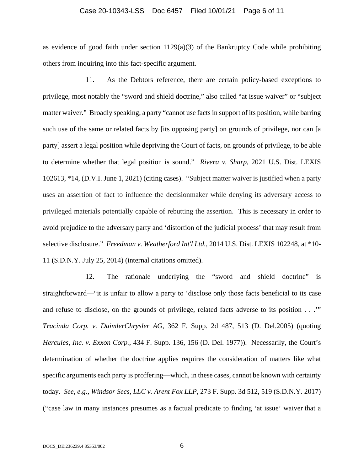#### Case 20-10343-LSS Doc 6457 Filed 10/01/21 Page 6 of 11

as evidence of good faith under section  $1129(a)(3)$  of the Bankruptcy Code while prohibiting others from inquiring into this fact-specific argument.

11. As the Debtors reference, there are certain policy-based exceptions to privilege, most notably the "sword and shield doctrine," also called "at issue waiver" or "subject matter waiver." Broadly speaking, a party "cannot use facts in support of its position, while barring such use of the same or related facts by [its opposing party] on grounds of privilege, nor can [a party] assert a legal position while depriving the Court of facts, on grounds of privilege, to be able to determine whether that legal position is sound." *Rivera v. Sharp*, 2021 U.S. Dist. LEXIS 102613, \*14, (D.V.I. June 1, 2021) (citing cases). "Subject matter waiver is justified when a party uses an assertion of fact to influence the decisionmaker while denying its adversary access to privileged materials potentially capable of rebutting the assertion. This is necessary in order to avoid prejudice to the adversary party and 'distortion of the judicial process' that may result from selective disclosure." *Freedman v. Weatherford Int'l Ltd.*, 2014 U.S. Dist. LEXIS 102248, at \*10- 11 (S.D.N.Y. July 25, 2014) (internal citations omitted).

12. The rationale underlying the "sword and shield doctrine" is straightforward—"it is unfair to allow a party to 'disclose only those facts beneficial to its case and refuse to disclose, on the grounds of privilege, related facts adverse to its position . . .'" *Tracinda Corp. v. DaimlerChrysler AG*, 362 F. Supp. 2d 487, 513 (D. Del.2005) (quoting *Hercules, Inc. v. Exxon Corp.*, 434 F. Supp. 136, 156 (D. Del. 1977)). Necessarily, the Court's determination of whether the doctrine applies requires the consideration of matters like what specific arguments each party is proffering—which, in these cases, cannot be known with certainty today. *See, e.g., Windsor Secs, LLC v. Arent Fox LLP,* 273 F. Supp. 3d 512, 519 (S.D.N.Y. 2017) ("case law in many instances presumes as a factual predicate to finding 'at issue' waiver that a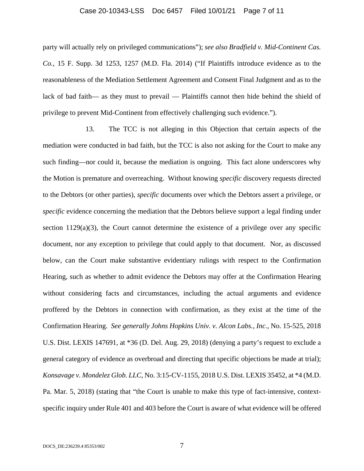#### Case 20-10343-LSS Doc 6457 Filed 10/01/21 Page 7 of 11

party will actually rely on privileged communications"); *see also Bradfield v. Mid-Continent Cas. Co.*, 15 F. Supp. 3d 1253, 1257 (M.D. Fla. 2014) ("If Plaintiffs introduce evidence as to the reasonableness of the Mediation Settlement Agreement and Consent Final Judgment and as to the lack of bad faith— as they must to prevail — Plaintiffs cannot then hide behind the shield of privilege to prevent Mid-Continent from effectively challenging such evidence.").

13. The TCC is not alleging in this Objection that certain aspects of the mediation were conducted in bad faith, but the TCC is also not asking for the Court to make any such finding—nor could it, because the mediation is ongoing. This fact alone underscores why the Motion is premature and overreaching. Without knowing *specific* discovery requests directed to the Debtors (or other parties), *specific* documents over which the Debtors assert a privilege, or *specific* evidence concerning the mediation that the Debtors believe support a legal finding under section  $1129(a)(3)$ , the Court cannot determine the existence of a privilege over any specific document, nor any exception to privilege that could apply to that document. Nor, as discussed below, can the Court make substantive evidentiary rulings with respect to the Confirmation Hearing, such as whether to admit evidence the Debtors may offer at the Confirmation Hearing without considering facts and circumstances, including the actual arguments and evidence proffered by the Debtors in connection with confirmation, as they exist at the time of the Confirmation Hearing. *See generally Johns Hopkins Univ. v. Alcon Labs., Inc.*, No. 15-525, 2018 U.S. Dist. LEXIS 147691, at \*36 (D. Del. Aug. 29, 2018) (denying a party's request to exclude a general category of evidence as overbroad and directing that specific objections be made at trial); *Konsavage v. Mondelez Glob. LLC*, No. 3:15-CV-1155, 2018 U.S. Dist. LEXIS 35452, at \*4 (M.D. Pa. Mar. 5, 2018) (stating that "the Court is unable to make this type of fact-intensive, contextspecific inquiry under Rule 401 and 403 before the Court is aware of what evidence will be offered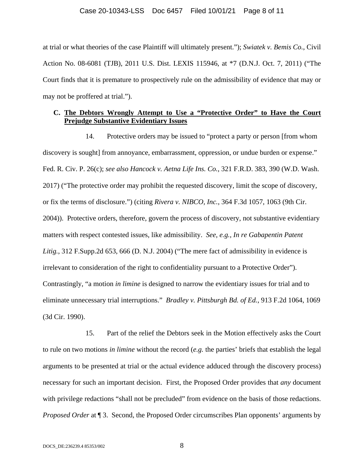#### Case 20-10343-LSS Doc 6457 Filed 10/01/21 Page 8 of 11

at trial or what theories of the case Plaintiff will ultimately present."); *Swiatek v. Bemis Co.*, Civil Action No. 08-6081 (TJB), 2011 U.S. Dist. LEXIS 115946, at \*7 (D.N.J. Oct. 7, 2011) ("The Court finds that it is premature to prospectively rule on the admissibility of evidence that may or may not be proffered at trial.").

### **C. The Debtors Wrongly Attempt to Use a "Protective Order" to Have the Court Prejudge Substantive Evidentiary Issues**

14. Protective orders may be issued to "protect a party or person [from whom discovery is sought] from annoyance, embarrassment, oppression, or undue burden or expense." Fed. R. Civ. P. 26(c); *see also Hancock v. Aetna Life Ins. Co.*, 321 F.R.D. 383, 390 (W.D. Wash. 2017) ("The protective order may prohibit the requested discovery, limit the scope of discovery, or fix the terms of disclosure.") (citing *Rivera v. NIBCO, Inc.*, 364 F.3d 1057, 1063 (9th Cir. 2004)). Protective orders, therefore, govern the process of discovery, not substantive evidentiary matters with respect contested issues, like admissibility. *See, e.g., In re Gabapentin Patent Litig.*, 312 F.Supp.2d 653, 666 (D. N.J. 2004) ("The mere fact of admissibility in evidence is irrelevant to consideration of the right to confidentiality pursuant to a Protective Order"). Contrastingly, "a motion *in limine* is designed to narrow the evidentiary issues for trial and to eliminate unnecessary trial interruptions." *Bradley v. Pittsburgh Bd. of Ed.*, 913 F.2d 1064, 1069 (3d Cir. 1990).

15. Part of the relief the Debtors seek in the Motion effectively asks the Court to rule on two motions *in limine* without the record (*e.g.* the parties' briefs that establish the legal arguments to be presented at trial or the actual evidence adduced through the discovery process) necessary for such an important decision. First, the Proposed Order provides that *any* document with privilege redactions "shall not be precluded" from evidence on the basis of those redactions. *Proposed Order* at ¶ 3. Second, the Proposed Order circumscribes Plan opponents' arguments by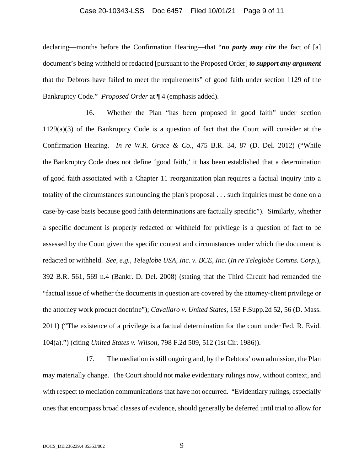#### Case 20-10343-LSS Doc 6457 Filed 10/01/21 Page 9 of 11

declaring—months before the Confirmation Hearing—that "*no party may cite* the fact of [a] document's being withheld or redacted [pursuant to the Proposed Order] *to support any argument* that the Debtors have failed to meet the requirements" of good faith under section 1129 of the Bankruptcy Code." *Proposed Order* at ¶ 4 (emphasis added).

16. Whether the Plan "has been proposed in good faith" under section 1129(a)(3) of the Bankruptcy Code is a question of fact that the Court will consider at the Confirmation Hearing. *In re W.R. Grace & Co.*, 475 B.R. 34, 87 (D. Del. 2012) ("While the Bankruptcy Code does not define 'good faith,' it has been established that a determination of good faith associated with a Chapter 11 reorganization plan requires a factual inquiry into a totality of the circumstances surrounding the plan's proposal . . . such inquiries must be done on a case-by-case basis because good faith determinations are factually specific"). Similarly, whether a specific document is properly redacted or withheld for privilege is a question of fact to be assessed by the Court given the specific context and circumstances under which the document is redacted or withheld. *See, e.g., Teleglobe USA, Inc. v. BCE, Inc.* (*In re Teleglobe Comms. Corp.*), 392 B.R. 561, 569 n.4 (Bankr. D. Del. 2008) (stating that the Third Circuit had remanded the "factual issue of whether the documents in question are covered by the attorney-client privilege or the attorney work product doctrine"); *Cavallaro v. United States*, 153 F.Supp.2d 52, 56 (D. Mass. 2011) ("The existence of a privilege is a factual determination for the court under Fed. R. Evid. 104(a).") (citing *United States v. Wilson*, 798 F.2d 509, 512 (1st Cir. 1986)).

17. The mediation is still ongoing and, by the Debtors' own admission, the Plan may materially change. The Court should not make evidentiary rulings now, without context, and with respect to mediation communications that have not occurred. "Evidentiary rulings, especially ones that encompass broad classes of evidence, should generally be deferred until trial to allow for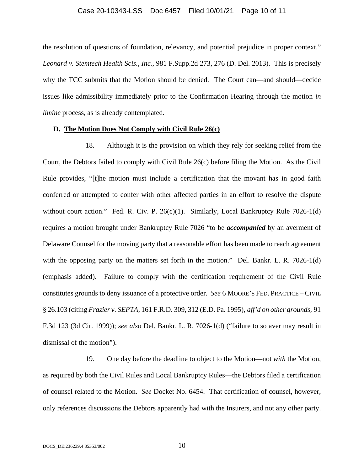#### Case 20-10343-LSS Doc 6457 Filed 10/01/21 Page 10 of 11

the resolution of questions of foundation, relevancy, and potential prejudice in proper context." *Leonard v. Stemtech Health Scis., Inc.*, 981 F.Supp.2d 273, 276 (D. Del. 2013). This is precisely why the TCC submits that the Motion should be denied. The Court can—and should—decide issues like admissibility immediately prior to the Confirmation Hearing through the motion *in limine* process, as is already contemplated.

#### **D. The Motion Does Not Comply with Civil Rule 26(c)**

18. Although it is the provision on which they rely for seeking relief from the Court, the Debtors failed to comply with Civil Rule 26(c) before filing the Motion. As the Civil Rule provides, "[t]he motion must include a certification that the movant has in good faith conferred or attempted to confer with other affected parties in an effort to resolve the dispute without court action." Fed. R. Civ. P.  $26(c)(1)$ . Similarly, Local Bankruptcy Rule 7026-1(d) requires a motion brought under Bankruptcy Rule 7026 "to be *accompanied* by an averment of Delaware Counsel for the moving party that a reasonable effort has been made to reach agreement with the opposing party on the matters set forth in the motion." Del. Bankr. L. R. 7026-1(d) (emphasis added). Failure to comply with the certification requirement of the Civil Rule constitutes grounds to deny issuance of a protective order. *See* 6 MOORE'S FED. PRACTICE – CIVIL § 26.103 (citing *Frazier v. SEPTA*, 161 F.R.D. 309, 312 (E.D. Pa. 1995), *aff'd on other grounds,* 91 F.3d 123 (3d Cir. 1999)); *see also* Del. Bankr. L. R. 7026-1(d) ("failure to so aver may result in dismissal of the motion").

19. One day before the deadline to object to the Motion—not *with* the Motion, as required by both the Civil Rules and Local Bankruptcy Rules—the Debtors filed a certification of counsel related to the Motion. *See* Docket No. 6454. That certification of counsel, however, only references discussions the Debtors apparently had with the Insurers, and not any other party.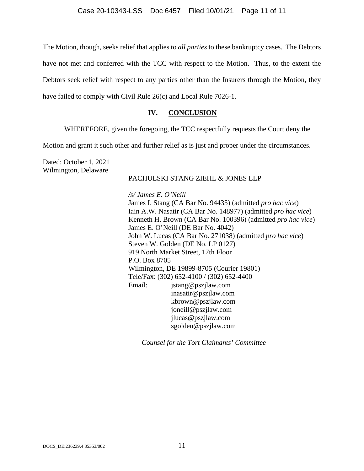The Motion, though, seeks relief that applies to *all parties* to these bankruptcy cases. The Debtors have not met and conferred with the TCC with respect to the Motion. Thus, to the extent the Debtors seek relief with respect to any parties other than the Insurers through the Motion, they have failed to comply with Civil Rule 26(c) and Local Rule 7026-1.

## **IV. CONCLUSION**

WHEREFORE, given the foregoing, the TCC respectfully requests the Court deny the

Motion and grant it such other and further relief as is just and proper under the circumstances.

Dated: October 1, 2021 Wilmington, Delaware

## PACHULSKI STANG ZIEHL & JONES LLP

*/s/ James E. O'Neill*  James I. Stang (CA Bar No. 94435) (admitted *pro hac vice*) Iain A.W. Nasatir (CA Bar No. 148977) (admitted *pro hac vice*) Kenneth H. Brown (CA Bar No. 100396) (admitted *pro hac vice*) James E. O'Neill (DE Bar No. 4042) John W. Lucas (CA Bar No. 271038) (admitted *pro hac vice*) Steven W. Golden (DE No. LP 0127) 919 North Market Street, 17th Floor P.O. Box 8705 Wilmington, DE 19899-8705 (Courier 19801) Tele/Fax: (302) 652-4100 / (302) 652-4400 Email: jstang@pszjlaw.com inasatir@pszjlaw.com kbrown@pszjlaw.com joneill@pszjlaw.com jlucas@pszjlaw.com sgolden@pszjlaw.com

*Counsel for the Tort Claimants' Committee*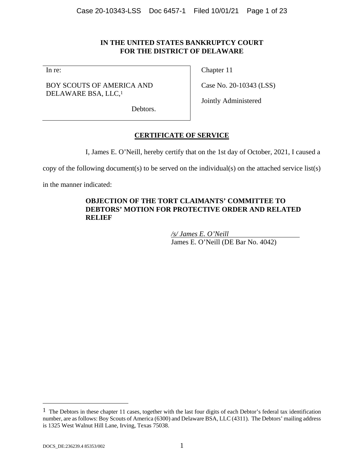# **IN THE UNITED STATES BANKRUPTCY COURT FOR THE DISTRICT OF DELAWARE**

In re:

BOY SCOUTS OF AMERICA AND DELAWARE BSA, LLC,1

Chapter 11

Case No. 20-10343 (LSS)

Jointly Administered

Debtors.

# **CERTIFICATE OF SERVICE**

I, James E. O'Neill, hereby certify that on the 1st day of October, 2021, I caused a

copy of the following document(s) to be served on the individual(s) on the attached service list(s)

in the manner indicated:

# **OBJECTION OF THE TORT CLAIMANTS' COMMITTEE TO DEBTORS' MOTION FOR PROTECTIVE ORDER AND RELATED RELIEF**

*/s/ James E. O'Neill*  James E. O'Neill (DE Bar No. 4042)

 $\overline{a}$ 

 $<sup>1</sup>$  The Debtors in these chapter 11 cases, together with the last four digits of each Debtor's federal tax identification</sup> number, are as follows: Boy Scouts of America (6300) and Delaware BSA, LLC (4311). The Debtors' mailing address is 1325 West Walnut Hill Lane, Irving, Texas 75038.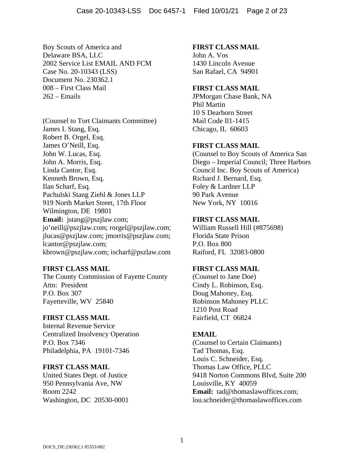Boy Scouts of America and Delaware BSA, LLC 2002 Service List EMAIL AND FCM Case No. 20-10343 (LSS) Document No. 230362.1 008 – First Class Mail  $262$  – Emails

(Counsel to Tort Claimants Committee) James I. Stang, Esq. Robert B. Orgel, Esq. James O'Neill, Esq. John W. Lucas, Esq. John A. Morris, Esq. Linda Cantor, Esq. Kenneth Brown, Esq. Ilan Scharf, Esq. Pachulski Stang Ziehl & Jones LLP 919 North Market Street, 17th Floor Wilmington, DE 19801 **Email:** jstang@pszjlaw.com; jo'neill@pszjlaw.com; rorgel@pszjlaw.com; jlucas@pszjlaw.com; jmorris@pszjlaw.com; lcantor@pszjlaw.com; kbrown@pszjlaw.com; ischarf@pszlaw.com

### **FIRST CLASS MAIL**

The County Commission of Fayette County Attn: President P.O. Box 307 Fayetteville, WV 25840

### **FIRST CLASS MAIL**

Internal Revenue Service Centralized Insolvency Operation P.O. Box 7346 Philadelphia, PA 19101-7346

# **FIRST CLASS MAIL**

United States Dept. of Justice 950 Pennsylvania Ave, NW Room 2242 Washington, DC 20530-0001

### **FIRST CLASS MAIL**

John A. Vos 1430 Lincoln Avenue San Rafael, CA 94901

# **FIRST CLASS MAIL**

JPMorgan Chase Bank, NA Phil Martin 10 S Dearborn Street Mail Code Il1-1415 Chicago, IL 60603

# **FIRST CLASS MAIL**

(Counsel to Boy Scouts of America San Diego – Imperial Council; Three Harbors Council Inc. Boy Scouts of America) Richard J. Bernard, Esq. Foley & Lardner LLP 90 Park Avenue New York, NY 10016

# **FIRST CLASS MAIL**

William Russell Hill (#875698) Florida State Prison P.O. Box 800 Raiford, FL 32083-0800

### **FIRST CLASS MAIL**

(Counsel to Jane Doe) Cindy L. Robinson, Esq. Doug Mahoney, Esq. Robinson Mahoney PLLC 1210 Post Road Fairfield, CT 06824

# **EMAIL**

(Counsel to Certain Claimants) Tad Thomas, Esq. Louis C. Schneider, Esq. Thomas Law Office, PLLC 9418 Norton Commons Blvd, Suite 200 Louisville, KY 40059 **Email:** tad@thomaslawoffices.com; lou.schneider@thomaslawoffices.com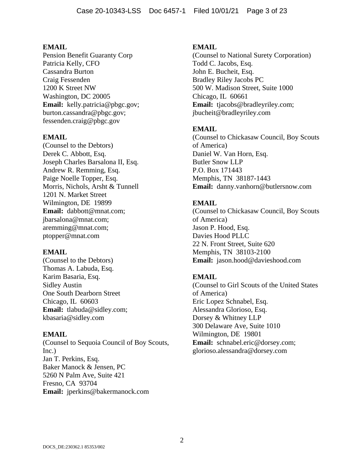Pension Benefit Guaranty Corp Patricia Kelly, CFO Cassandra Burton Craig Fessenden 1200 K Street NW Washington, DC 20005 **Email:** kelly.patricia@pbgc.gov; burton.cassandra@pbgc.gov; fessenden.craig@pbgc.gov

#### **EMAIL**

(Counsel to the Debtors) Derek C. Abbott, Esq. Joseph Charles Barsalona II, Esq. Andrew R. Remming, Esq. Paige Noelle Topper, Esq. Morris, Nichols, Arsht & Tunnell 1201 N. Market Street Wilmington, DE 19899 **Email:** dabbott@mnat.com; jbarsalona@mnat.com; aremming@mnat.com; ptopper@mnat.com

#### **EMAIL**

(Counsel to the Debtors) Thomas A. Labuda, Esq. Karim Basaria, Esq. Sidley Austin One South Dearborn Street Chicago, IL 60603 **Email:** tlabuda@sidley.com; kbasaria@sidley.com

#### **EMAIL**

(Counsel to Sequoia Council of Boy Scouts, Inc.) Jan T. Perkins, Esq. Baker Manock & Jensen, PC 5260 N Palm Ave, Suite 421 Fresno, CA 93704 **Email:** jperkins@bakermanock.com

#### **EMAIL**

(Counsel to National Surety Corporation) Todd C. Jacobs, Esq. John E. Bucheit, Esq. Bradley Riley Jacobs PC 500 W. Madison Street, Suite 1000 Chicago, IL 60661 **Email:** tjacobs@bradleyriley.com; jbucheit@bradleyriley.com

#### **EMAIL**

(Counsel to Chickasaw Council, Boy Scouts of America) Daniel W. Van Horn, Esq. Butler Snow LLP P.O. Box 171443 Memphis, TN 38187-1443 **Email:** danny.vanhorn@butlersnow.com

#### **EMAIL**

(Counsel to Chickasaw Council, Boy Scouts of America) Jason P. Hood, Esq. Davies Hood PLLC 22 N. Front Street, Suite 620 Memphis, TN 38103-2100 **Email:** jason.hood@davieshood.com

#### **EMAIL**

(Counsel to Girl Scouts of the United States of America) Eric Lopez Schnabel, Esq. Alessandra Glorioso, Esq. Dorsey & Whitney LLP 300 Delaware Ave, Suite 1010 Wilmington, DE 19801 **Email:** schnabel.eric@dorsey.com; glorioso.alessandra@dorsey.com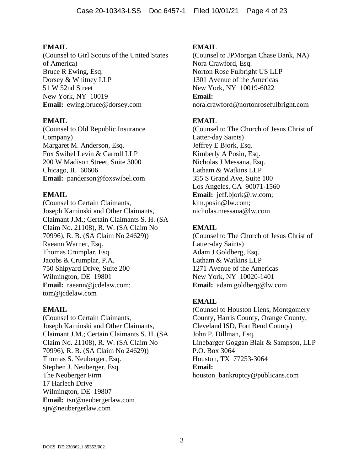(Counsel to Girl Scouts of the United States of America) Bruce R Ewing, Esq. Dorsey & Whitney LLP 51 W 52nd Street New York, NY 10019 **Email:** ewing.bruce@dorsey.com

# **EMAIL**

(Counsel to Old Republic Insurance Company) Margaret M. Anderson, Esq. Fox Swibel Levin & Carroll LLP 200 W Madison Street, Suite 3000 Chicago, IL 60606 **Email:** panderson@foxswibel.com

# **EMAIL**

(Counsel to Certain Claimants, Joseph Kaminski and Other Claimants, Claimant J.M.; Certain Claimants S. H. (SA Claim No. 21108), R. W. (SA Claim No 70996), R. B. (SA Claim No 24629)) Raeann Warner, Esq. Thomas Crumplar, Esq. Jacobs & Crumplar, P.A. 750 Shipyard Drive, Suite 200 Wilmington, DE 19801 **Email:** raeann@jcdelaw.com; tom@jcdelaw.com

### **EMAIL**

(Counsel to Certain Claimants, Joseph Kaminski and Other Claimants, Claimant J.M.; Certain Claimants S. H. (SA Claim No. 21108), R. W. (SA Claim No 70996), R. B. (SA Claim No 24629)) Thomas S. Neuberger, Esq. Stephen J. Neuberger, Esq. The Neuberger Firm 17 Harlech Drive Wilmington, DE 19807 **Email:** tsn@neubergerlaw.com sjn@neubergerlaw.com

## **EMAIL**

(Counsel to JPMorgan Chase Bank, NA) Nora Crawford, Esq. Norton Rose Fulbright US LLP 1301 Avenue of the Americas New York, NY 10019-6022 **Email:** nora.crawford@nortonrosefulbright.com

# **EMAIL**

(Counsel to The Church of Jesus Christ of Latter-day Saints) Jeffrey E Bjork, Esq. Kimberly A Posin, Esq. Nicholas J Messana, Esq. Latham & Watkins LLP 355 S Grand Ave, Suite 100 Los Angeles, CA 90071-1560 **Email:** jeff.bjork@lw.com; kim.posin@lw.com; nicholas.messana@lw.com

# **EMAIL**

(Counsel to The Church of Jesus Christ of Latter-day Saints) Adam J Goldberg, Esq. Latham & Watkins LLP 1271 Avenue of the Americas New York, NY 10020-1401 **Email:** adam.goldberg@lw.com

# **EMAIL**

(Counsel to Houston Liens, Montgomery County, Harris County, Orange County, Cleveland ISD, Fort Bend County) John P. Dillman, Esq. Linebarger Goggan Blair & Sampson, LLP P.O. Box 3064 Houston, TX 77253-3064 **Email:** houston\_bankruptcy@publicans.com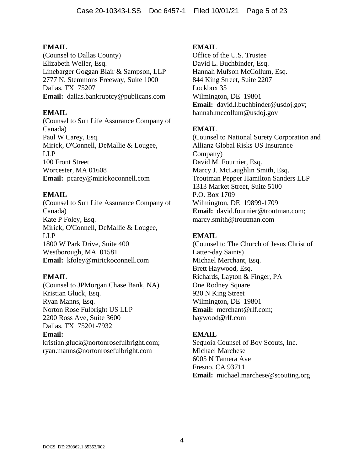(Counsel to Dallas County) Elizabeth Weller, Esq. Linebarger Goggan Blair & Sampson, LLP 2777 N. Stemmons Freeway, Suite 1000 Dallas, TX 75207 **Email:** dallas.bankruptcy@publicans.com

### **EMAIL**

(Counsel to Sun Life Assurance Company of Canada) Paul W Carey, Esq. Mirick, O'Connell, DeMallie & Lougee, LLP 100 Front Street Worcester, MA 01608 **Email:** pcarey@mirickoconnell.com

### **EMAIL**

(Counsel to Sun Life Assurance Company of Canada) Kate P Foley, Esq. Mirick, O'Connell, DeMallie & Lougee, LLP 1800 W Park Drive, Suite 400 Westborough, MA 01581 **Email:** kfoley@mirickoconnell.com

#### **EMAIL**

(Counsel to JPMorgan Chase Bank, NA) Kristian Gluck, Esq. Ryan Manns, Esq. Norton Rose Fulbright US LLP 2200 Ross Ave, Suite 3600 Dallas, TX 75201-7932 **Email:**

kristian.gluck@nortonrosefulbright.com; ryan.manns@nortonrosefulbright.com

#### **EMAIL**

Office of the U.S. Trustee David L. Buchbinder, Esq. Hannah Mufson McCollum, Esq. 844 King Street, Suite 2207 Lockbox 35 Wilmington, DE 19801 **Email:** david.l.buchbinder@usdoj.gov; hannah.mccollum@usdoj.gov

### **EMAIL**

(Counsel to National Surety Corporation and Allianz Global Risks US Insurance Company) David M. Fournier, Esq. Marcy J. McLaughlin Smith, Esq. Troutman Pepper Hamilton Sanders LLP 1313 Market Street, Suite 5100 P.O. Box 1709 Wilmington, DE 19899-1709 **Email:** david.fournier@troutman.com; marcy.smith@troutman.com

## **EMAIL**

(Counsel to The Church of Jesus Christ of Latter-day Saints) Michael Merchant, Esq. Brett Haywood, Esq. Richards, Layton & Finger, PA One Rodney Square 920 N King Street Wilmington, DE 19801 **Email:** merchant@rlf.com; haywood@rlf.com

### **EMAIL**

Sequoia Counsel of Boy Scouts, Inc. Michael Marchese 6005 N Tamera Ave Fresno, CA 93711 **Email:** michael.marchese@scouting.org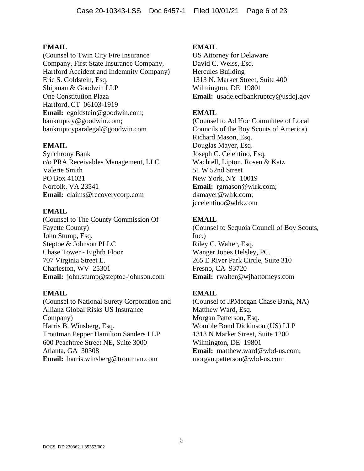(Counsel to Twin City Fire Insurance Company, First State Insurance Company, Hartford Accident and Indemnity Company) Eric S. Goldstein, Esq. Shipman & Goodwin LLP One Constitution Plaza Hartford, CT 06103-1919 **Email:** egoldstein@goodwin.com; bankruptcy@goodwin.com; bankruptcyparalegal@goodwin.com

### **EMAIL**

Synchrony Bank c/o PRA Receivables Management, LLC Valerie Smith PO Box 41021 Norfolk, VA 23541 **Email:** claims@recoverycorp.com

### **EMAIL**

(Counsel to The County Commission Of Fayette County) John Stump, Esq. Steptoe & Johnson PLLC Chase Tower - Eighth Floor 707 Virginia Street E. Charleston, WV 25301 **Email:** john.stump@steptoe-johnson.com

### **EMAIL**

(Counsel to National Surety Corporation and Allianz Global Risks US Insurance Company) Harris B. Winsberg, Esq. Troutman Pepper Hamilton Sanders LLP 600 Peachtree Street NE, Suite 3000 Atlanta, GA 30308 **Email:** harris.winsberg@troutman.com

### **EMAIL**

US Attorney for Delaware David C. Weiss, Esq. Hercules Building 1313 N. Market Street, Suite 400 Wilmington, DE 19801 **Email:** usade.ecfbankruptcy@usdoj.gov

## **EMAIL**

(Counsel to Ad Hoc Committee of Local Councils of the Boy Scouts of America) Richard Mason, Esq. Douglas Mayer, Esq. Joseph C. Celentino, Esq. Wachtell, Lipton, Rosen & Katz 51 W 52nd Street New York, NY 10019 **Email:** rgmason@wlrk.com; dkmayer@wlrk.com; jccelentino@wlrk.com

### **EMAIL**

(Counsel to Sequoia Council of Boy Scouts, Inc.) Riley C. Walter, Esq. Wanger Jones Helsley, PC. 265 E River Park Circle, Suite 310 Fresno, CA 93720 **Email:** rwalter@wjhattorneys.com

### **EMAIL**

(Counsel to JPMorgan Chase Bank, NA) Matthew Ward, Esq. Morgan Patterson, Esq. Womble Bond Dickinson (US) LLP 1313 N Market Street, Suite 1200 Wilmington, DE 19801 **Email:** matthew.ward@wbd-us.com; morgan.patterson@wbd-us.com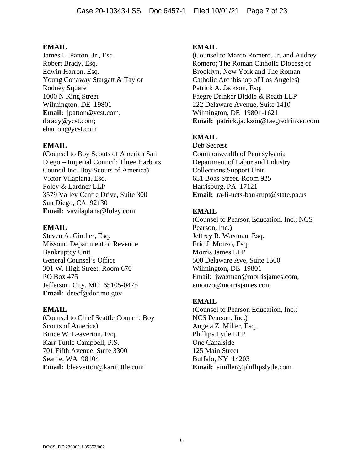James L. Patton, Jr., Esq. Robert Brady, Esq. Edwin Harron, Esq. Young Conaway Stargatt & Taylor Rodney Square 1000 N King Street Wilmington, DE 19801 **Email:** jpatton@ycst.com; rbrady@ycst.com; eharron@ycst.com

# **EMAIL**

(Counsel to Boy Scouts of America San Diego – Imperial Council; Three Harbors Council Inc. Boy Scouts of America) Victor Vilaplana, Esq. Foley & Lardner LLP 3579 Valley Centre Drive, Suite 300 San Diego, CA 92130 **Email:** vavilaplana@foley.com

### **EMAIL**

Steven A. Ginther, Esq. Missouri Department of Revenue Bankruptcy Unit General Counsel's Office 301 W. High Street, Room 670 PO Box 475 Jefferson, City, MO 65105-0475 **Email:** deecf@dor.mo.gov

### **EMAIL**

(Counsel to Chief Seattle Council, Boy Scouts of America) Bruce W. Leaverton, Esq. Karr Tuttle Campbell, P.S. 701 Fifth Avenue, Suite 3300 Seattle, WA 98104 **Email:** bleaverton@karrtuttle.com

## **EMAIL**

(Counsel to Marco Romero, Jr. and Audrey Romero; The Roman Catholic Diocese of Brooklyn, New York and The Roman Catholic Archbishop of Los Angeles) Patrick A. Jackson, Esq. Faegre Drinker Biddle & Reath LLP 222 Delaware Avenue, Suite 1410 Wilmington, DE 19801-1621 **Email:** patrick.jackson@faegredrinker.com

# **EMAIL**

Deb Secrest Commonwealth of Pennsylvania Department of Labor and Industry Collections Support Unit 651 Boas Street, Room 925 Harrisburg, PA 17121 **Email:** ra-li-ucts-bankrupt@state.pa.us

# **EMAIL**

(Counsel to Pearson Education, Inc.; NCS Pearson, Inc.) Jeffrey R. Waxman, Esq. Eric J. Monzo, Esq. Morris James LLP 500 Delaware Ave, Suite 1500 Wilmington, DE 19801 Email: jwaxman@morrisjames.com; emonzo@morrisjames.com

### **EMAIL**

(Counsel to Pearson Education, Inc.; NCS Pearson, Inc.) Angela Z. Miller, Esq. Phillips Lytle LLP One Canalside 125 Main Street Buffalo, NY 14203 **Email:** amiller@phillipslytle.com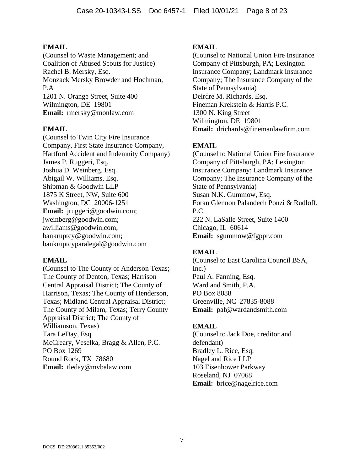(Counsel to Waste Management; and Coalition of Abused Scouts for Justice) Rachel B. Mersky, Esq. Monzack Mersky Browder and Hochman, P.A 1201 N. Orange Street, Suite 400 Wilmington, DE 19801 **Email:** rmersky@monlaw.com

### **EMAIL**

(Counsel to Twin City Fire Insurance Company, First State Insurance Company, Hartford Accident and Indemnity Company) James P. Ruggeri, Esq. Joshua D. Weinberg, Esq. Abigail W. Williams, Esq. Shipman & Goodwin LLP 1875 K Street, NW, Suite 600 Washington, DC 20006-1251 **Email:** jruggeri@goodwin.com; jweinberg@goodwin.com; awilliams@goodwin.com; bankruptcy@goodwin.com; bankruptcyparalegal@goodwin.com

### **EMAIL**

(Counsel to The County of Anderson Texas; The County of Denton, Texas; Harrison Central Appraisal District; The County of Harrison, Texas; The County of Henderson, Texas; Midland Central Appraisal District; The County of Milam, Texas; Terry County Appraisal District; The County of Williamson, Texas) Tara LeDay, Esq. McCreary, Veselka, Bragg & Allen, P.C. PO Box 1269 Round Rock, TX 78680 **Email:** tleday@mvbalaw.com

## **EMAIL**

(Counsel to National Union Fire Insurance Company of Pittsburgh, PA; Lexington Insurance Company; Landmark Insurance Company; The Insurance Company of the State of Pennsylvania) Deirdre M. Richards, Esq. Fineman Krekstein & Harris P.C. 1300 N. King Street Wilmington, DE 19801 **Email:** drichards@finemanlawfirm.com

# **EMAIL**

(Counsel to National Union Fire Insurance Company of Pittsburgh, PA; Lexington Insurance Company; Landmark Insurance Company; The Insurance Company of the State of Pennsylvania) Susan N.K. Gummow, Esq. Foran Glennon Palandech Ponzi & Rudloff, P.C. 222 N. LaSalle Street, Suite 1400 Chicago, IL 60614 **Email:** sgummow@fgppr.com

# **EMAIL**

(Counsel to East Carolina Council BSA, Inc.) Paul A. Fanning, Esq. Ward and Smith, P.A. PO Box 8088 Greenville, NC 27835-8088 **Email:** paf@wardandsmith.com

### **EMAIL**

(Counsel to Jack Doe, creditor and defendant) Bradley L. Rice, Esq. Nagel and Rice LLP 103 Eisenhower Parkway Roseland, NJ 07068 **Email:** brice@nagelrice.com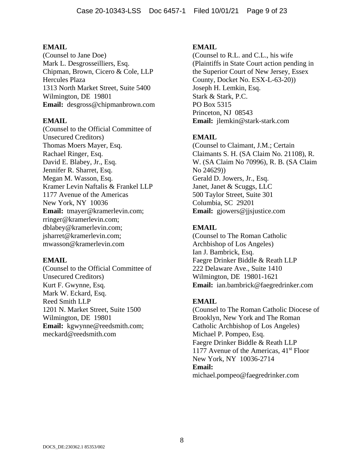(Counsel to Jane Doe) Mark L. Desgrosseilliers, Esq. Chipman, Brown, Cicero & Cole, LLP Hercules Plaza 1313 North Market Street, Suite 5400 Wilmington, DE 19801 **Email:** desgross@chipmanbrown.com

#### **EMAIL**

(Counsel to the Official Committee of Unsecured Creditors) Thomas Moers Mayer, Esq. Rachael Ringer, Esq. David E. Blabey, Jr., Esq. Jennifer R. Sharret, Esq. Megan M. Wasson, Esq. Kramer Levin Naftalis & Frankel LLP 1177 Avenue of the Americas New York, NY 10036 **Email:** tmayer@kramerlevin.com; rringer@kramerlevin.com; dblabey@kramerlevin.com; jsharret@kramerlevin.com; mwasson@kramerlevin.com

#### **EMAIL**

(Counsel to the Official Committee of Unsecured Creditors) Kurt F. Gwynne, Esq. Mark W. Eckard, Esq. Reed Smith LLP 1201 N. Market Street, Suite 1500 Wilmington, DE 19801 **Email:** kgwynne@reedsmith.com; meckard@reedsmith.com

#### **EMAIL**

(Counsel to R.L. and C.L., his wife (Plaintiffs in State Court action pending in the Superior Court of New Jersey, Essex County, Docket No. ESX-L-63-20)) Joseph H. Lemkin, Esq. Stark & Stark, P.C. PO Box 5315 Princeton, NJ 08543 **Email:** jlemkin@stark-stark.com

### **EMAIL**

(Counsel to Claimant, J.M.; Certain Claimants S. H. (SA Claim No. 21108), R. W. (SA Claim No 70996), R. B. (SA Claim No 24629)) Gerald D. Jowers, Jr., Esq. Janet, Janet & Scuggs, LLC 500 Taylor Street, Suite 301 Columbia, SC 29201 **Email:** gjowers@jjsjustice.com

#### **EMAIL**

(Counsel to The Roman Catholic Archbishop of Los Angeles) Ian J. Bambrick, Esq. Faegre Drinker Biddle & Reath LLP 222 Delaware Ave., Suite 1410 Wilmington, DE 19801-1621 **Email:** ian.bambrick@faegredrinker.com

#### **EMAIL**

(Counsel to The Roman Catholic Diocese of Brooklyn, New York and The Roman Catholic Archbishop of Los Angeles) Michael P. Pompeo, Esq. Faegre Drinker Biddle & Reath LLP 1177 Avenue of the Americas,  $41<sup>st</sup>$  Floor New York, NY 10036-2714 **Email:** michael.pompeo@faegredrinker.com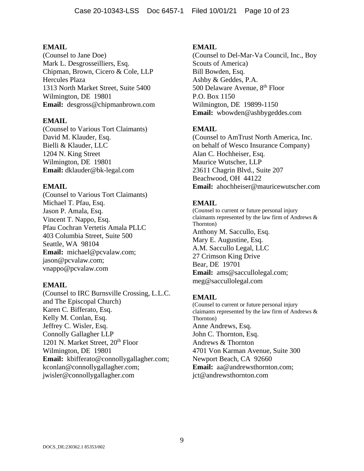(Counsel to Jane Doe) Mark L. Desgrosseilliers, Esq. Chipman, Brown, Cicero & Cole, LLP Hercules Plaza 1313 North Market Street, Suite 5400 Wilmington, DE 19801 **Email:** desgross@chipmanbrown.com

### **EMAIL**

(Counsel to Various Tort Claimants) David M. Klauder, Esq. Bielli & Klauder, LLC 1204 N. King Street Wilmington, DE 19801 **Email:** dklauder@bk-legal.com

### **EMAIL**

(Counsel to Various Tort Claimants) Michael T. Pfau, Esq. Jason P. Amala, Esq. Vincent T. Nappo, Esq. Pfau Cochran Vertetis Amala PLLC 403 Columbia Street, Suite 500 Seattle, WA 98104 **Email:** michael@pcvalaw.com; jason@pcvalaw.com; vnappo@pcvalaw.com

### **EMAIL**

(Counsel to IRC Burnsville Crossing, L.L.C. and The Episcopal Church) Karen C. Bifferato, Esq. Kelly M. Conlan, Esq. Jeffrey C. Wisler, Esq. Connolly Gallagher LLP 1201 N. Market Street, 20<sup>th</sup> Floor Wilmington, DE 19801 **Email:** kbifferato@connollygallagher.com; kconlan@connollygallagher.com; jwisler@connollygallagher.com

### **EMAIL**

(Counsel to Del-Mar-Va Council, Inc., Boy Scouts of America) Bill Bowden, Esq. Ashby & Geddes, P.A. 500 Delaware Avenue, 8<sup>th</sup> Floor P.O. Box 1150 Wilmington, DE 19899-1150 **Email:** wbowden@ashbygeddes.com

# **EMAIL**

(Counsel to AmTrust North America, Inc. on behalf of Wesco Insurance Company) Alan C. Hochheiser, Esq. Maurice Wutscher, LLP 23611 Chagrin Blvd., Suite 207 Beachwood, OH 44122 **Email:** ahochheiser@mauricewutscher.com

# **EMAIL**

(Counsel to current or future personal injury claimants represented by the law firm of Andrews & Thornton) Anthony M. Saccullo, Esq. Mary E. Augustine, Esq. A.M. Saccullo Legal, LLC 27 Crimson King Drive Bear, DE 19701 **Email:** ams@saccullolegal.com; meg@saccullolegal.com

### **EMAIL**

(Counsel to current or future personal injury claimants represented by the law firm of Andrews & Thornton) Anne Andrews, Esq. John C. Thornton, Esq. Andrews & Thornton 4701 Von Karman Avenue, Suite 300 Newport Beach, CA 92660 **Email:** aa@andrewsthornton.com; jct@andrewsthornton.com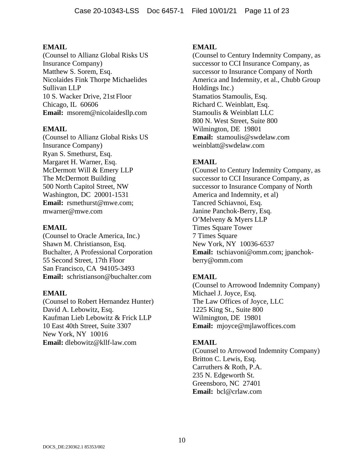(Counsel to Allianz Global Risks US Insurance Company) Matthew S. Sorem, Esq. Nicolaides Fink Thorpe Michaelides Sullivan LLP 10 S. Wacker Drive, 21st Floor Chicago, IL 60606 **Email:** msorem@nicolaidesllp.com

### **EMAIL**

(Counsel to Allianz Global Risks US Insurance Company) Ryan S. Smethurst, Esq. Margaret H. Warner, Esq. McDermott Will & Emery LLP The McDermott Building 500 North Capitol Street, NW Washington, DC 20001-1531 **Email:** rsmethurst@mwe.com; mwarner@mwe.com

### **EMAIL**

(Counsel to Oracle America, Inc.) Shawn M. Christianson, Esq. Buchalter, A Professional Corporation 55 Second Street, 17th Floor San Francisco, CA 94105-3493 **Email:** schristianson@buchalter.com

### **EMAIL**

(Counsel to Robert Hernandez Hunter) David A. Lebowitz, Esq. Kaufman Lieb Lebowitz & Frick LLP 10 East 40th Street, Suite 3307 New York, NY 10016 **Email:** dlebowitz@kllf-law.com

## **EMAIL**

(Counsel to Century Indemnity Company, as successor to CCI Insurance Company, as successor to Insurance Company of North America and Indemnity, et al., Chubb Group Holdings Inc.) Stamatios Stamoulis, Esq. Richard C. Weinblatt, Esq. Stamoulis & Weinblatt LLC 800 N. West Street, Suite 800 Wilmington, DE 19801 **Email:** stamoulis@swdelaw.com weinblatt@swdelaw.com

# **EMAIL**

(Counsel to Century Indemnity Company, as successor to CCI Insurance Company, as successor to Insurance Company of North America and Indemnity, et al) Tancred Schiavnoi, Esq. Janine Panchok-Berry, Esq. O'Melveny & Myers LLP Times Square Tower 7 Times Square New York, NY 10036-6537 **Email:** tschiavoni@omm.com; jpanchokberry@omm.com

# **EMAIL**

(Counsel to Arrowood Indemnity Company) Michael J. Joyce, Esq. The Law Offices of Joyce, LLC 1225 King St., Suite 800 Wilmington, DE 19801 **Email:** mjoyce@mjlawoffices.com

### **EMAIL**

(Counsel to Arrowood Indemnity Company) Britton C. Lewis, Esq. Carruthers & Roth, P.A. 235 N. Edgeworth St. Greensboro, NC 27401 **Email:** bcl@crlaw.com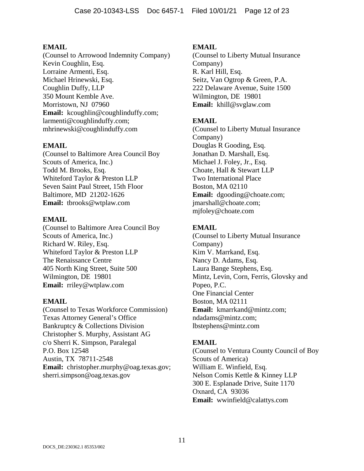(Counsel to Arrowood Indemnity Company) Kevin Coughlin, Esq. Lorraine Armenti, Esq. Michael Hrinewski, Esq. Coughlin Duffy, LLP 350 Mount Kemble Ave. Morristown, NJ 07960 Email: kcoughlin@coughlinduffy.com; larmenti@coughlinduffy.com; mhrinewski@coughlinduffy.com

# **EMAIL**

(Counsel to Baltimore Area Council Boy Scouts of America, Inc.) Todd M. Brooks, Esq. Whiteford Taylor & Preston LLP Seven Saint Paul Street, 15th Floor Baltimore, MD 21202-1626 **Email:** tbrooks@wtplaw.com

# **EMAIL**

(Counsel to Baltimore Area Council Boy Scouts of America, Inc.) Richard W. Riley, Esq. Whiteford Taylor & Preston LLP The Renaissance Centre 405 North King Street, Suite 500 Wilmington, DE 19801 **Email:** rriley@wtplaw.com

### **EMAIL**

(Counsel to Texas Workforce Commission) Texas Attorney General's Office Bankruptcy & Collections Division Christopher S. Murphy, Assistant AG c/o Sherri K. Simpson, Paralegal P.O. Box 12548 Austin, TX 78711-2548 **Email:** christopher.murphy@oag.texas.gov; sherri.simpson@oag.texas.gov

## **EMAIL**

(Counsel to Liberty Mutual Insurance Company) R. Karl Hill, Esq. Seitz, Van Ogtrop & Green, P.A. 222 Delaware Avenue, Suite 1500 Wilmington, DE 19801 **Email:** khill@svglaw.com

# **EMAIL**

(Counsel to Liberty Mutual Insurance Company) Douglas R Gooding, Esq. Jonathan D. Marshall, Esq. Michael J. Foley, Jr., Esq. Choate, Hall & Stewart LLP Two International Place Boston, MA 02110 **Email:** dgooding@choate.com; jmarshall@choate.com; mjfoley@choate.com

# **EMAIL**

(Counsel to Liberty Mutual Insurance Company) Kim V. Marrkand, Esq. Nancy D. Adams, Esq. Laura Bange Stephens, Esq. Mintz, Levin, Corn, Ferris, Glovsky and Popeo, P.C. One Financial Center Boston, MA 02111 **Email:** kmarrkand@mintz.com; ndadams@mintz.com; lbstephens@mintz.com

# **EMAIL**

(Counsel to Ventura County Council of Boy Scouts of America) William E. Winfield, Esq. Nelson Comis Kettle & Kinney LLP 300 E. Esplanade Drive, Suite 1170 Oxnard, CA 93036 **Email:** wwinfield@calattys.com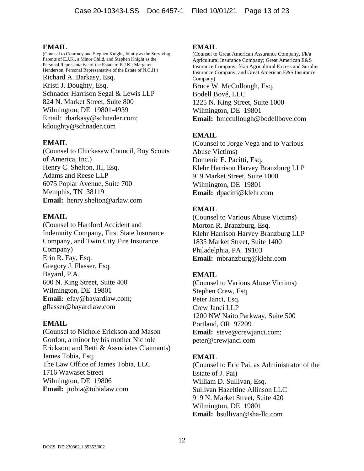(Counsel to Courtney and Stephen Knight, Jointly as the Surviving Parents of E.J.K., a Minor Child, and Stephen Knight as the Personal Representative of the Estate of E.J.K.; Margaret Henderson, Personal Representative of the Estate of N.G.H.) Richard A. Barkasy, Esq. Kristi J. Doughty, Esq. Schnader Harrison Segal & Lewis LLP 824 N. Market Street, Suite 800 Wilmington, DE 19801-4939 Email: rbarkasy@schnader.com; kdoughty@schnader.com

### **EMAIL**

(Counsel to Chickasaw Council, Boy Scouts of America, Inc.) Henry C. Shelton, III, Esq. Adams and Reese LLP 6075 Poplar Avenue, Suite 700 Memphis, TN 38119 **Email:** henry.shelton@arlaw.com

### **EMAIL**

(Counsel to Hartford Accident and Indemnity Company, First State Insurance Company, and Twin City Fire Insurance Company) Erin R. Fay, Esq. Gregory J. Flasser, Esq. Bayard, P.A. 600 N. King Street, Suite 400 Wilmington, DE 19801 **Email:** efay@bayardlaw.com; gflasser@bayardlaw.com

### **EMAIL**

(Counsel to Nichole Erickson and Mason Gordon, a minor by his mother Nichole Erickson; and Betti & Associates Claimants) James Tobia, Esq. The Law Office of James Tobia, LLC 1716 Wawaset Street Wilmington, DE 19806 **Email:** jtobia@tobialaw.com

### **EMAIL**

(Counsel to Great American Assurance Company, f/k/a Agricultural Insurance Company; Great American E&S Insurance Company, f/k/a Agricultural Excess and Surplus Insurance Company; and Great American E&S Insurance Company) Bruce W. McCullough, Esq. Bodell Bové, LLC 1225 N. King Street, Suite 1000 Wilmington, DE 19801 **Email:** bmccullough@bodellbove.com

# **EMAIL**

(Counsel to Jorge Vega and to Various Abuse Victims) Domenic E. Pacitti, Esq. Klehr Harrison Harvey Branzburg LLP 919 Market Street, Suite 1000 Wilmington, DE 19801 **Email:** dpacitti@klehr.com

# **EMAIL**

(Counsel to Various Abuse Victims) Morton R. Branzburg, Esq. Klehr Harrison Harvey Branzburg LLP 1835 Market Street, Suite 1400 Philadelphia, PA 19103 **Email:** mbranzburg@klehr.com

# **EMAIL**

(Counsel to Various Abuse Victims) Stephen Crew, Esq. Peter Janci, Esq. Crew Janci LLP 1200 NW Naito Parkway, Suite 500 Portland, OR 97209 **Email:** steve@crewjanci.com; peter@crewjanci.com

# **EMAIL**

(Counsel to Eric Pai, as Administrator of the Estate of J. Pai) William D. Sullivan, Esq. Sullivan Hazeltine Allinson LLC 919 N. Market Street, Suite 420 Wilmington, DE 19801 **Email:** bsullivan@sha-llc.com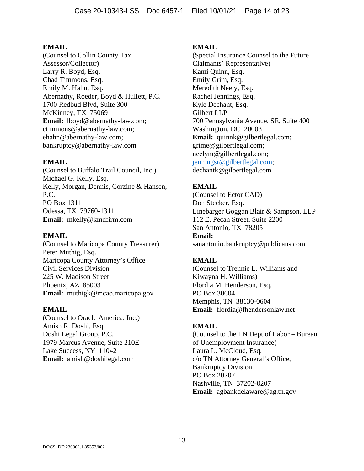(Counsel to Collin County Tax Assessor/Collector) Larry R. Boyd, Esq. Chad Timmons, Esq. Emily M. Hahn, Esq. Abernathy, Roeder, Boyd & Hullett, P.C. 1700 Redbud Blvd, Suite 300 McKinney, TX 75069 **Email:** lboyd@abernathy-law.com; ctimmons@abernathy-law.com; ehahn@abernathy-law.com; bankruptcy@abernathy-law.com

### **EMAIL**

(Counsel to Buffalo Trail Council, Inc.) Michael G. Kelly, Esq. Kelly, Morgan, Dennis, Corzine & Hansen, P.C. PO Box 1311 Odessa, TX 79760-1311 **Email:** mkelly@kmdfirm.com

### **EMAIL**

(Counsel to Maricopa County Treasurer) Peter Muthig, Esq. Maricopa County Attorney's Office Civil Services Division 225 W. Madison Street Phoenix, AZ 85003 **Email:** muthigk@mcao.maricopa.gov

#### **EMAIL**

(Counsel to Oracle America, Inc.) Amish R. Doshi, Esq. Doshi Legal Group, P.C. 1979 Marcus Avenue, Suite 210E Lake Success, NY 11042 **Email:** amish@doshilegal.com

#### **EMAIL**

(Special Insurance Counsel to the Future Claimants' Representative) Kami Quinn, Esq. Emily Grim, Esq. Meredith Neely, Esq. Rachel Jennings, Esq. Kyle Dechant, Esq. Gilbert LLP 700 Pennsylvania Avenue, SE, Suite 400 Washington, DC 20003 **Email:** quinnk@gilbertlegal.com; grime@gilbertlegal.com; neelym@gilbertlegal.com; jenningsr@gilbertlegal.com; dechantk@gilbertlegal.com

# **EMAIL**

(Counsel to Ector CAD) Don Stecker, Esq. Linebarger Goggan Blair & Sampson, LLP 112 E. Pecan Street, Suite 2200 San Antonio, TX 78205 **Email:** sanantonio.bankruptcy@publicans.com

### **EMAIL**

(Counsel to Trennie L. Williams and Kiwayna H. Williams) Flordia M. Henderson, Esq. PO Box 30604 Memphis, TN 38130-0604 **Email:** flordia@fhendersonlaw.net

### **EMAIL**

(Counsel to the TN Dept of Labor – Bureau of Unemployment Insurance) Laura L. McCloud, Esq. c/o TN Attorney General's Office, Bankruptcy Division PO Box 20207 Nashville, TN 37202-0207 **Email:** agbankdelaware@ag.tn.gov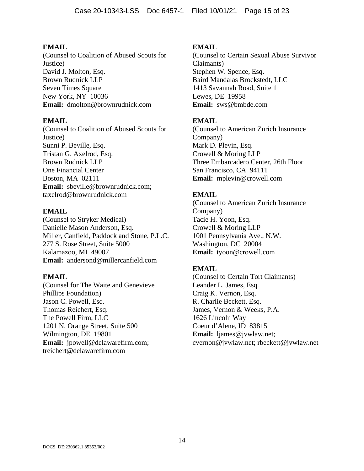(Counsel to Coalition of Abused Scouts for Justice) David J. Molton, Esq. Brown Rudnick LLP Seven Times Square New York, NY 10036 **Email:** dmolton@brownrudnick.com

## **EMAIL**

(Counsel to Coalition of Abused Scouts for Justice) Sunni P. Beville, Esq. Tristan G. Axelrod, Esq. Brown Rudnick LLP One Financial Center Boston, MA 02111 **Email:** sbeville@brownrudnick.com; taxelrod@brownrudnick.com

# **EMAIL**

(Counsel to Stryker Medical) Danielle Mason Anderson, Esq. Miller, Canfield, Paddock and Stone, P.L.C. 277 S. Rose Street, Suite 5000 Kalamazoo, MI 49007 **Email:** andersond@millercanfield.com

### **EMAIL**

(Counsel for The Waite and Genevieve Phillips Foundation) Jason C. Powell, Esq. Thomas Reichert, Esq. The Powell Firm, LLC 1201 N. Orange Street, Suite 500 Wilmington, DE 19801 **Email:** jpowell@delawarefirm.com; treichert@delawarefirm.com

# **EMAIL**

(Counsel to Certain Sexual Abuse Survivor Claimants) Stephen W. Spence, Esq. Baird Mandalas Brockstedt, LLC 1413 Savannah Road, Suite 1 Lewes, DE 19958 **Email:** sws@bmbde.com

# **EMAIL**

(Counsel to American Zurich Insurance Company) Mark D. Plevin, Esq. Crowell & Moring LLP Three Embarcadero Center, 26th Floor San Francisco, CA 94111 **Email:** mplevin@crowell.com

# **EMAIL**

(Counsel to American Zurich Insurance Company) Tacie H. Yoon, Esq. Crowell & Moring LLP 1001 Pennsylvania Ave., N.W. Washington, DC 20004 **Email:** tyoon@crowell.com

# **EMAIL**

(Counsel to Certain Tort Claimants) Leander L. James, Esq. Craig K. Vernon, Esq. R. Charlie Beckett, Esq. James, Vernon & Weeks, P.A. 1626 Lincoln Way Coeur d'Alene, ID 83815 **Email:** ljames@jvwlaw.net; cvernon@jvwlaw.net; rbeckett@jvwlaw.net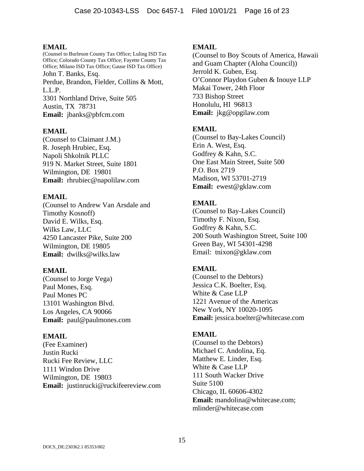(Counsel to Burleson County Tax Office; Luling ISD Tax Office; Colorado County Tax Office; Fayette County Tax Office; Milano ISD Tax Office; Gause ISD Tax Office) John T. Banks, Esq. Perdue, Brandon, Fielder, Collins & Mott, L.L.P. 3301 Northland Drive, Suite 505 Austin, TX 78731 **Email:** jbanks@pbfcm.com

### **EMAIL**

(Counsel to Claimant J.M.) R. Joseph Hrubiec, Esq. Napoli Shkolnik PLLC 919 N. Market Street, Suite 1801 Wilmington, DE 19801 **Email:** rhrubiec@napolilaw.com

### **EMAIL**

(Counsel to Andrew Van Arsdale and Timothy Kosnoff) David E. Wilks, Esq. Wilks Law, LLC 4250 Lancaster Pike, Suite 200 Wilmington, DE 19805 **Email:** dwilks@wilks.law

### **EMAIL**

(Counsel to Jorge Vega) Paul Mones, Esq. Paul Mones PC 13101 Washington Blvd. Los Angeles, CA 90066 **Email:** paul@paulmones.com

### **EMAIL**

(Fee Examiner) Justin Rucki Rucki Fee Review, LLC 1111 Windon Drive Wilmington, DE 19803 **Email:** justinrucki@ruckifeereview.com

### **EMAIL**

(Counsel to Boy Scouts of America, Hawaii and Guam Chapter (Aloha Council)) Jerrold K. Guben, Esq. O'Connor Playdon Guben & Inouye LLP Makai Tower, 24th Floor 733 Bishop Street Honolulu, HI 96813 **Email:** jkg@opgilaw.com

### **EMAIL**

(Counsel to Bay-Lakes Council) Erin A. West, Esq. Godfrey & Kahn, S.C. One East Main Street, Suite 500 P.O. Box 2719 Madison, WI 53701-2719 **Email:** ewest@gklaw.com

# **EMAIL**

(Counsel to Bay-Lakes Council) Timothy F. Nixon, Esq. Godfrey & Kahn, S.C. 200 South Washington Street, Suite 100 Green Bay, WI 54301-4298 Email: tnixon@gklaw.com

### **EMAIL**

(Counsel to the Debtors) Jessica C.K. Boelter, Esq. White & Case LLP 1221 Avenue of the Americas New York, NY 10020-1095 **Email:** jessica.boelter@whitecase.com

### **EMAIL**

(Counsel to the Debtors) Michael C. Andolina, Eq. Matthew E. Linder, Esq. White & Case LLP 111 South Wacker Drive Suite 5100 Chicago, IL 60606-4302 **Email:** mandolina@whitecase.com; mlinder@whitecase.com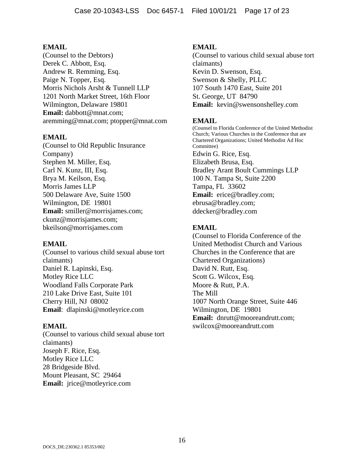(Counsel to the Debtors) Derek C. Abbott, Esq. Andrew R. Remming, Esq. Paige N. Topper, Esq. Morris Nichols Arsht & Tunnell LLP 1201 North Market Street, 16th Floor Wilmington, Delaware 19801 **Email:** dabbott@mnat.com; aremming@mnat.com; ptopper@mnat.com

# **EMAIL**

(Counsel to Old Republic Insurance Company) Stephen M. Miller, Esq. Carl N. Kunz, III, Esq. Brya M. Keilson, Esq. Morris James LLP 500 Delaware Ave, Suite 1500 Wilmington, DE 19801 **Email:** smiller@morrisjames.com; ckunz@morrisjames.com; bkeilson@morrisjames.com

### **EMAIL**

(Counsel to various child sexual abuse tort claimants) Daniel R. Lapinski, Esq. Motley Rice LLC Woodland Falls Corporate Park 210 Lake Drive East, Suite 101 Cherry Hill, NJ 08002 **Email**: dlapinski@motleyrice.com

### **EMAIL**

(Counsel to various child sexual abuse tort claimants) Joseph F. Rice, Esq. Motley Rice LLC 28 Bridgeside Blvd. Mount Pleasant, SC 29464 **Email:** jrice@motleyrice.com

# **EMAIL**

(Counsel to various child sexual abuse tort claimants) Kevin D. Swenson, Esq. Swenson & Shelly, PLLC 107 South 1470 East, Suite 201 St. George, UT 84790 **Email:** kevin@swensonshelley.com

# **EMAIL**

(Counsel to Florida Conference of the United Methodist Church; Various Churches in the Conference that are Chartered Organizations; United Methodist Ad Hoc Committee) Edwin G. Rice, Esq. Elizabeth Brusa, Esq. Bradley Arant Boult Cummings LLP 100 N. Tampa St, Suite 2200 Tampa, FL 33602 **Email:** erice@bradley.com; ebrusa@bradley.com; ddecker@bradley.com

# **EMAIL**

(Counsel to Florida Conference of the United Methodist Church and Various Churches in the Conference that are Chartered Organizations) David N. Rutt, Esq. Scott G. Wilcox, Esq. Moore & Rutt, P.A. The Mill 1007 North Orange Street, Suite 446 Wilmington, DE 19801 **Email:** dnrutt@mooreandrutt.com; swilcox@mooreandrutt.com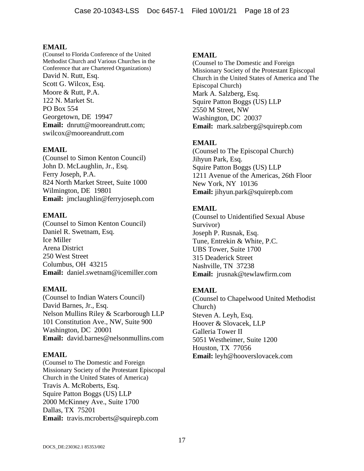(Counsel to Florida Conference of the United Methodist Church and Various Churches in the Conference that are Chartered Organizations) David N. Rutt, Esq. Scott G. Wilcox, Esq. Moore & Rutt, P.A. 122 N. Market St. PO Box 554 Georgetown, DE 19947 **Email:** dnrutt@mooreandrutt.com; swilcox@mooreandrutt.com

### **EMAIL**

(Counsel to Simon Kenton Council) John D. McLaughlin, Jr., Esq. Ferry Joseph, P.A. 824 North Market Street, Suite 1000 Wilmington, DE 19801 **Email:** jmclaughlin@ferryjoseph.com

### **EMAIL**

(Counsel to Simon Kenton Council) Daniel R. Swetnam, Esq. Ice Miller Arena District 250 West Street Columbus, OH 43215 **Email:** daniel.swetnam@icemiller.com

### **EMAIL**

(Counsel to Indian Waters Council) David Barnes, Jr., Esq. Nelson Mullins Riley & Scarborough LLP 101 Constitution Ave., NW, Suite 900 Washington, DC 20001 **Email:** david.barnes@nelsonmullins.com

### **EMAIL**

(Counsel to The Domestic and Foreign Missionary Society of the Protestant Episcopal Church in the United States of America) Travis A. McRoberts, Esq. Squire Patton Boggs (US) LLP 2000 McKinney Ave., Suite 1700 Dallas, TX 75201 **Email:** travis.mcroberts@squirepb.com

#### **EMAIL**

(Counsel to The Domestic and Foreign Missionary Society of the Protestant Episcopal Church in the United States of America and The Episcopal Church) Mark A. Salzberg, Esq. Squire Patton Boggs (US) LLP 2550 M Street, NW Washington, DC 20037 **Email:** mark.salzberg@squirepb.com

### **EMAIL**

(Counsel to The Episcopal Church) Jihyun Park, Esq. Squire Patton Boggs (US) LLP 1211 Avenue of the Americas, 26th Floor New York, NY 10136 **Email:** jihyun.park@squirepb.com

### **EMAIL**

(Counsel to Unidentified Sexual Abuse Survivor) Joseph P. Rusnak, Esq. Tune, Entrekin & White, P.C. UBS Tower, Suite 1700 315 Deaderick Street Nashville, TN 37238 **Email:** jrusnak@tewlawfirm.com

### **EMAIL**

(Counsel to Chapelwood United Methodist Church) Steven A. Leyh, Esq. Hoover & Slovacek, LLP Galleria Tower II 5051 Westheimer, Suite 1200 Houston, TX 77056 **Email:** leyh@hooverslovacek.com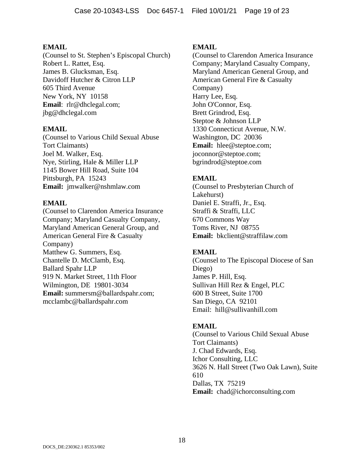(Counsel to St. Stephen's Episcopal Church) Robert L. Rattet, Esq. James B. Glucksman, Esq. Davidoff Hutcher & Citron LLP 605 Third Avenue New York, NY 10158 **Email**: rlr@dhclegal.com; jbg@dhclegal.com

### **EMAIL**

(Counsel to Various Child Sexual Abuse Tort Claimants) Joel M. Walker, Esq. Nye, Stirling, Hale & Miller LLP 1145 Bower Hill Road, Suite 104 Pittsburgh, PA 15243 **Email:** jmwalker@nshmlaw.com

# **EMAIL**

(Counsel to Clarendon America Insurance Company; Maryland Casualty Company, Maryland American General Group, and American General Fire & Casualty Company) Matthew G. Summers, Esq. Chantelle D. McClamb, Esq. Ballard Spahr LLP 919 N. Market Street, 11th Floor Wilmington, DE 19801-3034 **Email:** summersm@ballardspahr.com; mcclambc@ballardspahr.com

# **EMAIL**

(Counsel to Clarendon America Insurance Company; Maryland Casualty Company, Maryland American General Group, and American General Fire & Casualty Company) Harry Lee, Esq. John O'Connor, Esq. Brett Grindrod, Esq. Steptoe & Johnson LLP 1330 Connecticut Avenue, N.W. Washington, DC 20036 **Email:** hlee@steptoe.com; joconnor@steptoe.com; bgrindrod@steptoe.com

# **EMAIL**

(Counsel to Presbyterian Church of Lakehurst) Daniel E. Straffi, Jr., Esq. Straffi & Straffi, LLC 670 Commons Way Toms River, NJ 08755 **Email:** bkclient@straffilaw.com

# **EMAIL**

(Counsel to The Episcopal Diocese of San Diego) James P. Hill, Esq. Sullivan Hill Rez & Engel, PLC 600 B Street, Suite 1700 San Diego, CA 92101 Email: hill@sullivanhill.com

# **EMAIL**

(Counsel to Various Child Sexual Abuse Tort Claimants) J. Chad Edwards, Esq. Ichor Consulting, LLC 3626 N. Hall Street (Two Oak Lawn), Suite 610 Dallas, TX 75219 **Email:** chad@ichorconsulting.com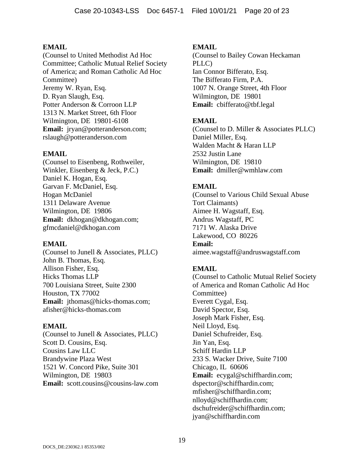(Counsel to United Methodist Ad Hoc Committee; Catholic Mutual Relief Society of America; and Roman Catholic Ad Hoc Committee) Jeremy W. Ryan, Esq. D. Ryan Slaugh, Esq. Potter Anderson & Corroon LLP 1313 N. Market Street, 6th Floor Wilmington, DE 19801-6108 **Email:** jryan@potteranderson.com; rslaugh@potteranderson.com

# **EMAIL**

(Counsel to Eisenbeng, Rothweiler, Winkler, Eisenberg & Jeck, P.C.) Daniel K. Hogan, Esq. Garvan F. McDaniel, Esq. Hogan McDaniel 1311 Delaware Avenue Wilmington, DE 19806 **Email:** dkhogan@dkhogan.com; gfmcdaniel@dkhogan.com

### **EMAIL**

(Counsel to Junell & Associates, PLLC) John B. Thomas, Esq. Allison Fisher, Esq. Hicks Thomas LLP 700 Louisiana Street, Suite 2300 Houston, TX 77002 Email: jthomas@hicks-thomas.com; afisher@hicks-thomas.com

### **EMAIL**

(Counsel to Junell & Associates, PLLC) Scott D. Cousins, Esq. Cousins Law LLC Brandywine Plaza West 1521 W. Concord Pike, Suite 301 Wilmington, DE 19803 **Email:** scott.cousins@cousins-law.com

## **EMAIL**

(Counsel to Bailey Cowan Heckaman PLLC) Ian Connor Bifferato, Esq. The Bifferato Firm, P.A. 1007 N. Orange Street, 4th Floor Wilmington, DE 19801 **Email:** cbifferato@tbf.legal

# **EMAIL**

(Counsel to D. Miller & Associates PLLC) Daniel Miller, Esq. Walden Macht & Haran LLP 2532 Justin Lane Wilmington, DE 19810 **Email:** dmiller@wmhlaw.com

# **EMAIL**

(Counsel to Various Child Sexual Abuse Tort Claimants) Aimee H. Wagstaff, Esq. Andrus Wagstaff, PC 7171 W. Alaska Drive Lakewood, CO 80226 **Email:** aimee.wagstaff@andruswagstaff.com

# **EMAIL**

(Counsel to Catholic Mutual Relief Society of America and Roman Catholic Ad Hoc Committee) Everett Cygal, Esq. David Spector, Esq. Joseph Mark Fisher, Esq. Neil Lloyd, Esq. Daniel Schufreider, Esq. Jin Yan, Esq. Schiff Hardin LLP 233 S. Wacker Drive, Suite 7100 Chicago, IL 60606 **Email:** ecygal@schiffhardin.com; dspector@schiffhardin.com; mfisher@schiffhardin.com; nlloyd@schiffhardin.com; dschufreider@schiffhardin.com; jyan@schiffhardin.com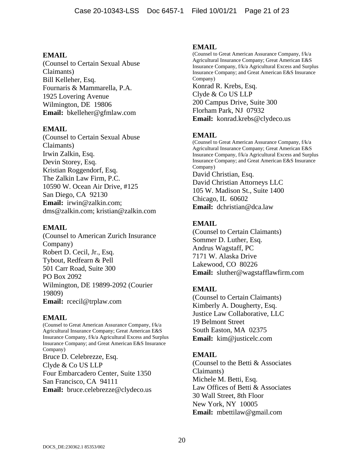(Counsel to Certain Sexual Abuse Claimants) Bill Kelleher, Esq. Fournaris & Mammarella, P.A. 1925 Lovering Avenue Wilmington, DE 19806 **Email:** bkelleher@gfmlaw.com

### **EMAIL**

(Counsel to Certain Sexual Abuse Claimants) Irwin Zalkin, Esq. Devin Storey, Esq. Kristian Roggendorf, Esq. The Zalkin Law Firm, P.C. 10590 W. Ocean Air Drive, #125 San Diego, CA 92130 **Email:** irwin@zalkin.com; dms@zalkin.com; kristian@zalkin.com

### **EMAIL**

(Counsel to American Zurich Insurance Company) Robert D. Cecil, Jr., Esq. Tybout, Redfearn & Pell 501 Carr Road, Suite 300 PO Box 2092 Wilmington, DE 19899-2092 (Courier 19809) **Email:** rcecil@trplaw.com

### **EMAIL**

(Counsel to Great American Assurance Company, f/k/a Agricultural Insurance Company; Great American E&S Insurance Company, f/k/a Agricultural Excess and Surplus Insurance Company; and Great American E&S Insurance Company) Bruce D. Celebrezze, Esq. Clyde & Co US LLP Four Embarcadero Center, Suite 1350 San Francisco, CA 94111 **Email:** bruce.celebrezze@clydeco.us

#### **EMAIL**

(Counsel to Great American Assurance Company, f/k/a Agricultural Insurance Company; Great American E&S Insurance Company, f/k/a Agricultural Excess and Surplus Insurance Company; and Great American E&S Insurance Company) Konrad R. Krebs, Esq. Clyde & Co US LLP 200 Campus Drive, Suite 300 Florham Park, NJ 07932 **Email:** konrad.krebs@clydeco.us

# **EMAIL**

(Counsel to Great American Assurance Company, f/k/a Agricultural Insurance Company; Great American E&S Insurance Company, f/k/a Agricultural Excess and Surplus Insurance Company; and Great American E&S Insurance Company) David Christian, Esq. David Christian Attorneys LLC 105 W. Madison St., Suite 1400 Chicago, IL 60602 **Email:** dchristian@dca.law

# **EMAIL**

(Counsel to Certain Claimants) Sommer D. Luther, Esq. Andrus Wagstaff, PC 7171 W. Alaska Drive Lakewood, CO 80226 **Email:** sluther@wagstafflawfirm.com

# **EMAIL**

(Counsel to Certain Claimants) Kimberly A. Dougherty, Esq. Justice Law Collaborative, LLC 19 Belmont Street South Easton, MA 02375 **Email:** kim@justicelc.com

### **EMAIL**

(Counsel to the Betti & Associates Claimants) Michele M. Betti, Esq. Law Offices of Betti & Associates 30 Wall Street, 8th Floor New York, NY 10005 **Email:** mbettilaw@gmail.com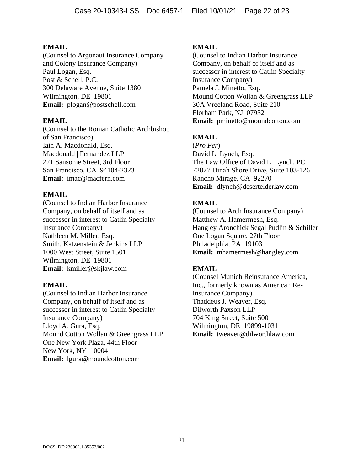(Counsel to Argonaut Insurance Company and Colony Insurance Company) Paul Logan, Esq. Post & Schell, P.C. 300 Delaware Avenue, Suite 1380 Wilmington, DE 19801 **Email:** plogan@postschell.com

## **EMAIL**

(Counsel to the Roman Catholic Archbishop of San Francisco) Iain A. Macdonald, Esq. Macdonald | Fernandez LLP 221 Sansome Street, 3rd Floor San Francisco, CA 94104-2323 **Email:** imac@macfern.com

# **EMAIL**

(Counsel to Indian Harbor Insurance Company, on behalf of itself and as successor in interest to Catlin Specialty Insurance Company) Kathleen M. Miller, Esq. Smith, Katzenstein & Jenkins LLP 1000 West Street, Suite 1501 Wilmington, DE 19801 **Email:** kmiller@skjlaw.com

### **EMAIL**

(Counsel to Indian Harbor Insurance Company, on behalf of itself and as successor in interest to Catlin Specialty Insurance Company) Lloyd A. Gura, Esq. Mound Cotton Wollan & Greengrass LLP One New York Plaza, 44th Floor New York, NY 10004 **Email:** lgura@moundcotton.com

# **EMAIL**

(Counsel to Indian Harbor Insurance Company, on behalf of itself and as successor in interest to Catlin Specialty Insurance Company) Pamela J. Minetto, Esq. Mound Cotton Wollan & Greengrass LLP 30A Vreeland Road, Suite 210 Florham Park, NJ 07932 **Email:** pminetto@moundcotton.com

# **EMAIL**

(*Pro Per*) David L. Lynch, Esq. The Law Office of David L. Lynch, PC 72877 Dinah Shore Drive, Suite 103-126 Rancho Mirage, CA 92270 **Email:** dlynch@desertelderlaw.com

# **EMAIL**

(Counsel to Arch Insurance Company) Matthew A. Hamermesh, Esq. Hangley Aronchick Segal Pudlin & Schiller One Logan Square, 27th Floor Philadelphia, PA 19103 **Email:** mhamermesh@hangley.com

# **EMAIL**

(Counsel Munich Reinsurance America, Inc., formerly known as American Re-Insurance Company) Thaddeus J. Weaver, Esq. Dilworth Paxson LLP 704 King Street, Suite 500 Wilmington, DE 19899-1031 **Email:** tweaver@dilworthlaw.com